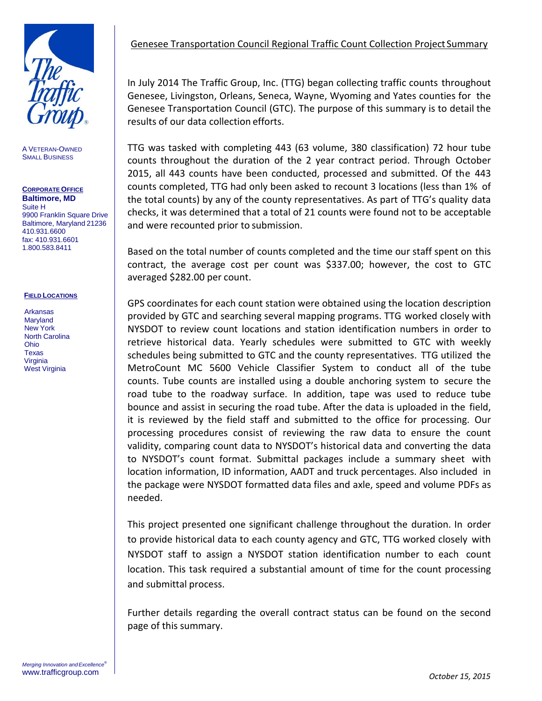

A VETERAN-OWNED SMALL BUSINESS

### **CORPORATE OFFICE Baltimore, MD** Suite H

9900 Franklin Square Drive Baltimore, Maryland 21236 410.931.6600 fax: 410.931.6601 1.800.583.8411

#### **FIELD LOCATIONS**

Arkansas Maryland New York North Carolina Ohio Texas **Virginia** West Virginia

In July 2014 The Traffic Group, Inc. (TTG) began collecting traffic counts throughout Genesee, Livingston, Orleans, Seneca, Wayne, Wyoming and Yates counties for the Genesee Transportation Council (GTC). The purpose of this summary is to detail the results of our data collection efforts.

TTG was tasked with completing 443 (63 volume, 380 classification) 72 hour tube counts throughout the duration of the 2 year contract period. Through October 2015, all 443 counts have been conducted, processed and submitted. Of the 443 counts completed, TTG had only been asked to recount 3 locations (less than 1% of the total counts) by any of the county representatives. As part of TTG's quality data checks, it was determined that a total of 21 counts were found not to be acceptable and were recounted prior to submission.

Based on the total number of counts completed and the time our staff spent on this contract, the average cost per count was \$337.00; however, the cost to GTC averaged \$282.00 per count.

GPS coordinates for each count station were obtained using the location description provided by GTC and searching several mapping programs. TTG worked closely with NYSDOT to review count locations and station identification numbers in order to retrieve historical data. Yearly schedules were submitted to GTC with weekly schedules being submitted to GTC and the county representatives. TTG utilized the MetroCount MC 5600 Vehicle Classifier System to conduct all of the tube counts. Tube counts are installed using a double anchoring system to secure the road tube to the roadway surface. In addition, tape was used to reduce tube bounce and assist in securing the road tube. After the data is uploaded in the field, it is reviewed by the field staff and submitted to the office for processing. Our processing procedures consist of reviewing the raw data to ensure the count validity, comparing count data to NYSDOT's historical data and converting the data to NYSDOT's count format. Submittal packages include a summary sheet with location information, ID information, AADT and truck percentages. Also included in the package were NYSDOT formatted data files and axle, speed and volume PDFs as needed.

This project presented one significant challenge throughout the duration. In order to provide historical data to each county agency and GTC, TTG worked closely with NYSDOT staff to assign a NYSDOT station identification number to each count location. This task required a substantial amount of time for the count processing and submittal process.

Further details regarding the overall contract status can be found on the second page of this summary.